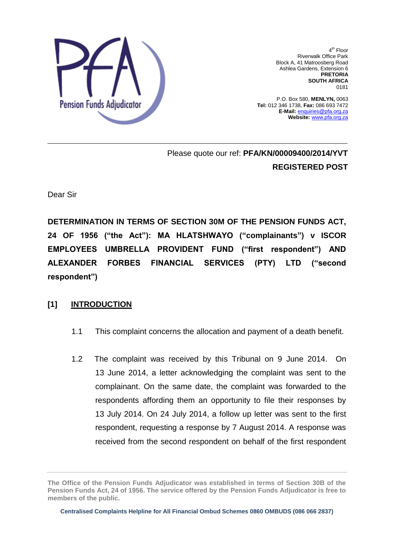

4<sup>th</sup> Floor Riverwalk Office Park Block A, 41 Matroosberg Road Ashlea Gardens, Extension 6 **PRETORIA SOUTH AFRICA**  0181

P.O. Box 580, **MENLYN,** 0063 **Tel:** 012 346 1738, **Fax:** 086 693 7472 **E-Mail:** enquiries@pfa.org.za **Website:** www.pfa.org.za

Please quote our ref: **PFA/KN/00009400/2014/YVT REGISTERED POST**

Dear Sir

**DETERMINATION IN TERMS OF SECTION 30M OF THE PENSION FUNDS ACT, 24 OF 1956 ("the Act"): MA HLATSHWAYO ("complainants") v ISCOR EMPLOYEES UMBRELLA PROVIDENT FUND ("first respondent") AND ALEXANDER FORBES FINANCIAL SERVICES (PTY) LTD ("second respondent")** 

### **[1] INTRODUCTION**

- 1.1 This complaint concerns the allocation and payment of a death benefit.
- 1.2 The complaint was received by this Tribunal on 9 June 2014. On 13 June 2014, a letter acknowledging the complaint was sent to the complainant. On the same date, the complaint was forwarded to the respondents affording them an opportunity to file their responses by 13 July 2014. On 24 July 2014, a follow up letter was sent to the first respondent, requesting a response by 7 August 2014. A response was received from the second respondent on behalf of the first respondent

**The Office of the Pension Funds Adjudicator was established in terms of Section 30B of the Pension Funds Act, 24 of 1956. The service offered by the Pension Funds Adjudicator is free to members of the public.**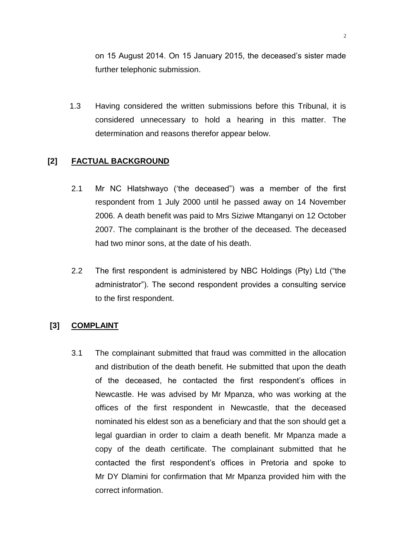on 15 August 2014. On 15 January 2015, the deceased"s sister made further telephonic submission.

 1.3 Having considered the written submissions before this Tribunal, it is considered unnecessary to hold a hearing in this matter. The determination and reasons therefor appear below.

# **[2] FACTUAL BACKGROUND**

- 2.1 Mr NC Hlatshwayo ("the deceased") was a member of the first respondent from 1 July 2000 until he passed away on 14 November 2006. A death benefit was paid to Mrs Siziwe Mtanganyi on 12 October 2007. The complainant is the brother of the deceased. The deceased had two minor sons, at the date of his death.
- 2.2 The first respondent is administered by NBC Holdings (Pty) Ltd ("the administrator"). The second respondent provides a consulting service to the first respondent.

### **[3] COMPLAINT**

3.1 The complainant submitted that fraud was committed in the allocation and distribution of the death benefit. He submitted that upon the death of the deceased, he contacted the first respondent"s offices in Newcastle. He was advised by Mr Mpanza, who was working at the offices of the first respondent in Newcastle, that the deceased nominated his eldest son as a beneficiary and that the son should get a legal guardian in order to claim a death benefit. Mr Mpanza made a copy of the death certificate. The complainant submitted that he contacted the first respondent"s offices in Pretoria and spoke to Mr DY Dlamini for confirmation that Mr Mpanza provided him with the correct information.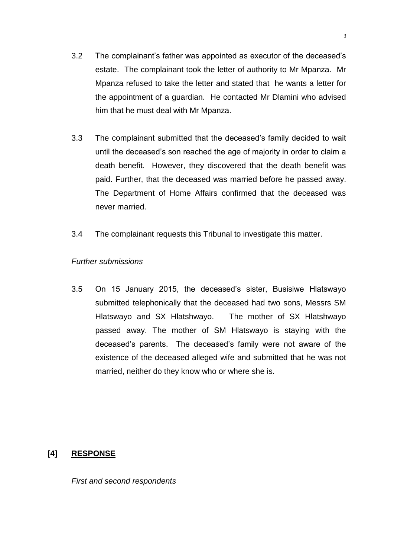- 3.2 The complainant"s father was appointed as executor of the deceased"s estate. The complainant took the letter of authority to Mr Mpanza. Mr Mpanza refused to take the letter and stated that he wants a letter for the appointment of a guardian. He contacted Mr Dlamini who advised him that he must deal with Mr Mpanza.
- 3.3 The complainant submitted that the deceased"s family decided to wait until the deceased"s son reached the age of majority in order to claim a death benefit. However, they discovered that the death benefit was paid. Further, that the deceased was married before he passed away. The Department of Home Affairs confirmed that the deceased was never married.
- 3.4 The complainant requests this Tribunal to investigate this matter.

### *Further submissions*

3.5 On 15 January 2015, the deceased"s sister, Busisiwe Hlatswayo submitted telephonically that the deceased had two sons, Messrs SM Hlatswayo and SX Hlatshwayo. The mother of SX Hlatshwayo passed away. The mother of SM Hlatswayo is staying with the deceased"s parents. The deceased"s family were not aware of the existence of the deceased alleged wife and submitted that he was not married, neither do they know who or where she is.

# **[4] RESPONSE**

*First and second respondents*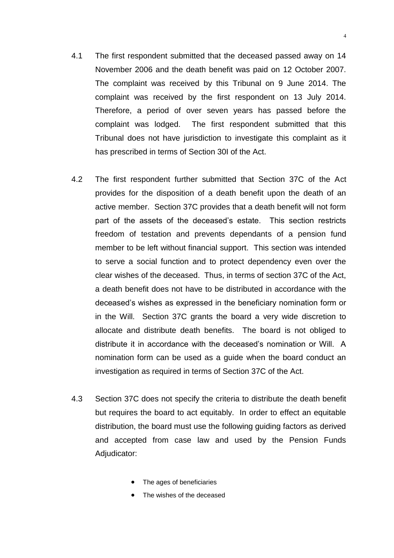- 4.1 The first respondent submitted that the deceased passed away on 14 November 2006 and the death benefit was paid on 12 October 2007. The complaint was received by this Tribunal on 9 June 2014. The complaint was received by the first respondent on 13 July 2014. Therefore, a period of over seven years has passed before the complaint was lodged. The first respondent submitted that this Tribunal does not have jurisdiction to investigate this complaint as it has prescribed in terms of Section 30I of the Act.
- 4.2 The first respondent further submitted that Section 37C of the Act provides for the disposition of a death benefit upon the death of an active member. Section 37C provides that a death benefit will not form part of the assets of the deceased's estate. This section restricts freedom of testation and prevents dependants of a pension fund member to be left without financial support. This section was intended to serve a social function and to protect dependency even over the clear wishes of the deceased. Thus, in terms of section 37C of the Act, a death benefit does not have to be distributed in accordance with the deceased"s wishes as expressed in the beneficiary nomination form or in the Will. Section 37C grants the board a very wide discretion to allocate and distribute death benefits. The board is not obliged to distribute it in accordance with the deceased"s nomination or Will. A nomination form can be used as a guide when the board conduct an investigation as required in terms of Section 37C of the Act.
- 4.3 Section 37C does not specify the criteria to distribute the death benefit but requires the board to act equitably. In order to effect an equitable distribution, the board must use the following guiding factors as derived and accepted from case law and used by the Pension Funds Adjudicator:
	- The ages of beneficiaries
	- The wishes of the deceased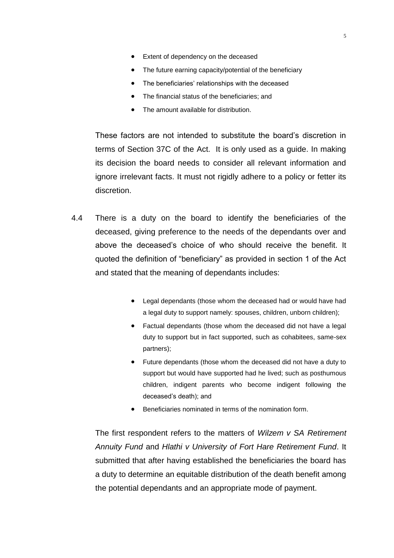- Extent of dependency on the deceased
- The future earning capacity/potential of the beneficiary
- The beneficiaries' relationships with the deceased
- The financial status of the beneficiaries: and
- The amount available for distribution.

These factors are not intended to substitute the board"s discretion in terms of Section 37C of the Act. It is only used as a guide. In making its decision the board needs to consider all relevant information and ignore irrelevant facts. It must not rigidly adhere to a policy or fetter its discretion.

- 4.4 There is a duty on the board to identify the beneficiaries of the deceased, giving preference to the needs of the dependants over and above the deceased"s choice of who should receive the benefit. It quoted the definition of "beneficiary" as provided in section 1 of the Act and stated that the meaning of dependants includes:
	- Legal dependants (those whom the deceased had or would have had a legal duty to support namely: spouses, children, unborn children);
	- Factual dependants (those whom the deceased did not have a legal duty to support but in fact supported, such as cohabitees, same-sex partners);
	- Future dependants (those whom the deceased did not have a duty to support but would have supported had he lived; such as posthumous children, indigent parents who become indigent following the deceased"s death); and
	- Beneficiaries nominated in terms of the nomination form.

The first respondent refers to the matters of *Wilzem v SA Retirement Annuity Fund* and *Hlathi v University of Fort Hare Retirement Fund*. It submitted that after having established the beneficiaries the board has a duty to determine an equitable distribution of the death benefit among the potential dependants and an appropriate mode of payment.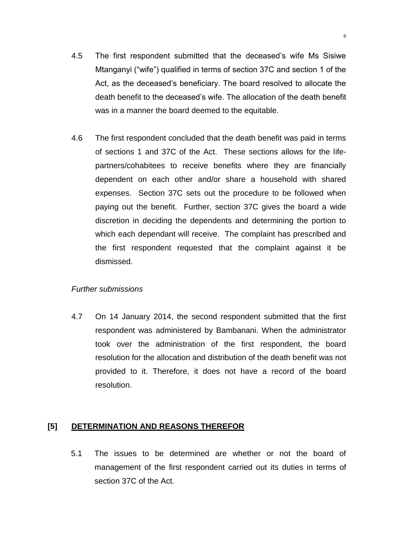- 4.5 The first respondent submitted that the deceased"s wife Ms Sisiwe Mtanganyi ("wife") qualified in terms of section 37C and section 1 of the Act, as the deceased"s beneficiary. The board resolved to allocate the death benefit to the deceased"s wife. The allocation of the death benefit was in a manner the board deemed to the equitable.
- 4.6 The first respondent concluded that the death benefit was paid in terms of sections 1 and 37C of the Act. These sections allows for the lifepartners/cohabitees to receive benefits where they are financially dependent on each other and/or share a household with shared expenses. Section 37C sets out the procedure to be followed when paying out the benefit. Further, section 37C gives the board a wide discretion in deciding the dependents and determining the portion to which each dependant will receive. The complaint has prescribed and the first respondent requested that the complaint against it be dismissed.

### *Further submissions*

4.7 On 14 January 2014, the second respondent submitted that the first respondent was administered by Bambanani. When the administrator took over the administration of the first respondent, the board resolution for the allocation and distribution of the death benefit was not provided to it. Therefore, it does not have a record of the board resolution.

# **[5] DETERMINATION AND REASONS THEREFOR**

5.1 The issues to be determined are whether or not the board of management of the first respondent carried out its duties in terms of section 37C of the Act.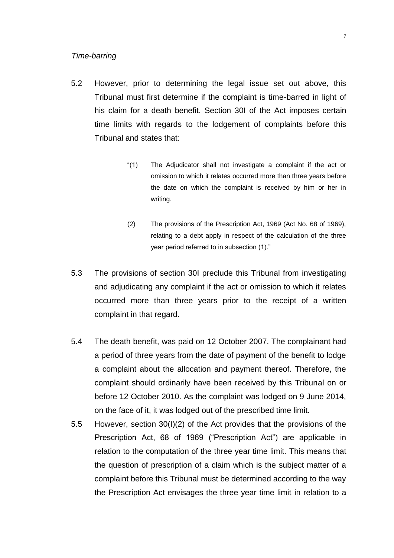#### *Time-barring*

- 5.2 However, prior to determining the legal issue set out above, this Tribunal must first determine if the complaint is time-barred in light of his claim for a death benefit. Section 30I of the Act imposes certain time limits with regards to the lodgement of complaints before this Tribunal and states that:
	- "(1) The Adjudicator shall not investigate a complaint if the act or omission to which it relates occurred more than three years before the date on which the complaint is received by him or her in writing.
	- (2) The provisions of the Prescription Act, 1969 (Act No. 68 of 1969), relating to a debt apply in respect of the calculation of the three year period referred to in subsection (1)."
- 5.3 The provisions of section 30I preclude this Tribunal from investigating and adjudicating any complaint if the act or omission to which it relates occurred more than three years prior to the receipt of a written complaint in that regard.
- 5.4 The death benefit, was paid on 12 October 2007. The complainant had a period of three years from the date of payment of the benefit to lodge a complaint about the allocation and payment thereof. Therefore, the complaint should ordinarily have been received by this Tribunal on or before 12 October 2010. As the complaint was lodged on 9 June 2014, on the face of it, it was lodged out of the prescribed time limit.
- 5.5 However, section 30(I)(2) of the Act provides that the provisions of the Prescription Act, 68 of 1969 ("Prescription Act") are applicable in relation to the computation of the three year time limit. This means that the question of prescription of a claim which is the subject matter of a complaint before this Tribunal must be determined according to the way the Prescription Act envisages the three year time limit in relation to a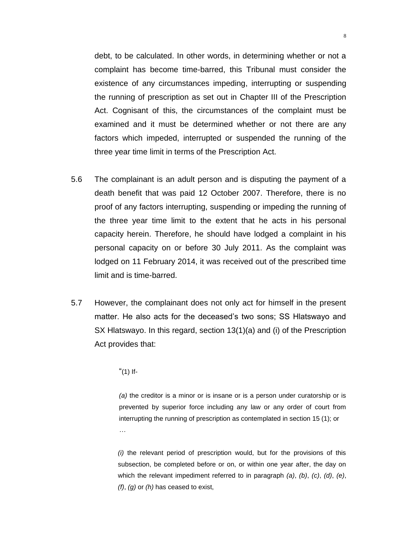debt, to be calculated. In other words, in determining whether or not a complaint has become time-barred, this Tribunal must consider the existence of any circumstances impeding, interrupting or suspending the running of prescription as set out in Chapter III of the Prescription Act. Cognisant of this, the circumstances of the complaint must be examined and it must be determined whether or not there are any factors which impeded, interrupted or suspended the running of the three year time limit in terms of the Prescription Act.

- 5.6 The complainant is an adult person and is disputing the payment of a death benefit that was paid 12 October 2007. Therefore, there is no proof of any factors interrupting, suspending or impeding the running of the three year time limit to the extent that he acts in his personal capacity herein. Therefore, he should have lodged a complaint in his personal capacity on or before 30 July 2011. As the complaint was lodged on 11 February 2014, it was received out of the prescribed time limit and is time-barred.
- 5.7 However, the complainant does not only act for himself in the present matter. He also acts for the deceased's two sons; SS Hlatswayo and SX Hlatswayo. In this regard, section 13(1)(a) and (i) of the Prescription Act provides that:
	- $"(1)$  If-

*(a)* the creditor is a minor or is insane or is a person under curatorship or is prevented by superior force including any law or any order of court from interrupting the running of prescription as contemplated in section 15 (1); or *…*

*(i)* the relevant period of prescription would, but for the provisions of this subsection, be completed before or on, or within one year after, the day on which the relevant impediment referred to in paragraph *(a)*, *(b)*, *(c)*, *(d)*, *(e)*, *(f)*, *(g)* or *(h)* has ceased to exist,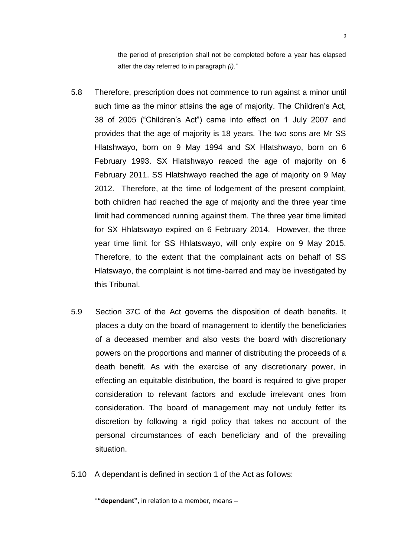the period of prescription shall not be completed before a year has elapsed after the day referred to in paragraph *(i)*."

- 5.8 Therefore, prescription does not commence to run against a minor until such time as the minor attains the age of majority. The Children's Act, 38 of 2005 ("Children"s Act") came into effect on 1 July 2007 and provides that the age of majority is 18 years. The two sons are Mr SS Hlatshwayo, born on 9 May 1994 and SX Hlatshwayo, born on 6 February 1993. SX Hlatshwayo reaced the age of majority on 6 February 2011. SS Hlatshwayo reached the age of majority on 9 May 2012. Therefore, at the time of lodgement of the present complaint, both children had reached the age of majority and the three year time limit had commenced running against them. The three year time limited for SX Hhlatswayo expired on 6 February 2014. However, the three year time limit for SS Hhlatswayo, will only expire on 9 May 2015. Therefore, to the extent that the complainant acts on behalf of SS Hlatswayo, the complaint is not time-barred and may be investigated by this Tribunal.
- 5.9 Section 37C of the Act governs the disposition of death benefits. It places a duty on the board of management to identify the beneficiaries of a deceased member and also vests the board with discretionary powers on the proportions and manner of distributing the proceeds of a death benefit. As with the exercise of any discretionary power, in effecting an equitable distribution, the board is required to give proper consideration to relevant factors and exclude irrelevant ones from consideration. The board of management may not unduly fetter its discretion by following a rigid policy that takes no account of the personal circumstances of each beneficiary and of the prevailing situation.
- 5.10 A dependant is defined in section 1 of the Act as follows:

"**"dependant"**, in relation to a member, means –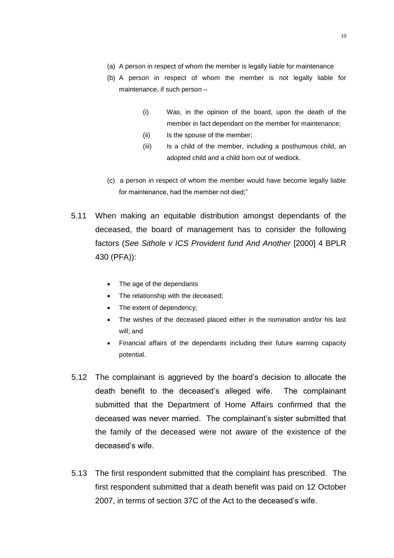- (a) A person in respect of whom the member is legally liable for maintenance
- (b) A person in respect of whom the member is not legally liable for maintenance, if such person –
	- (i) Was, in the opinion of the board, upon the death of the member in fact dependant on the member for maintenance;
	- (ii) Is the spouse of the member:
	- (iii) Is a child of the member, including a posthumous child, an adopted child and a child born out of wedlock.
- (c) a person in respect of whom the member would have become legally liable for maintenance, had the member not died;"
- 5.11 When making an equitable distribution amongst dependants of the deceased, the board of management has to consider the following factors (*See Sithole v ICS Provident fund And Another* [2000] 4 BPLR 430 (PFA)):
	- The age of the dependants
	- The relationship with the deceased;
	- The extent of dependency;
	- The wishes of the deceased placed either in the nomination and/or his last will; and
	- Financial affairs of the dependants including their future earning capacity potential.
- 5.12 The complainant is aggrieved by the board"s decision to allocate the death benefit to the deceased"s alleged wife. The complainant submitted that the Department of Home Affairs confirmed that the deceased was never married. The complainant"s sister submitted that the family of the deceased were not aware of the existence of the deceased"s wife.
- 5.13 The first respondent submitted that the complaint has prescribed. The first respondent submitted that a death benefit was paid on 12 October 2007, in terms of section 37C of the Act to the deceased"s wife.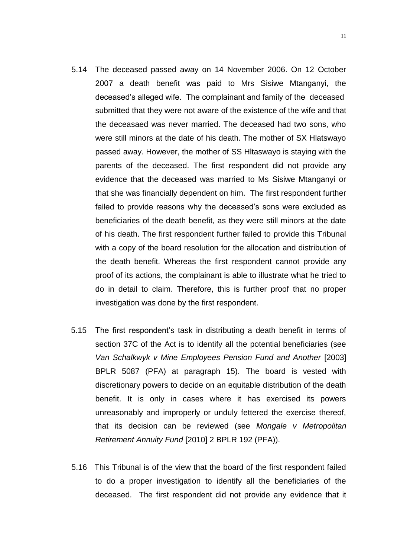- 5.14 The deceased passed away on 14 November 2006. On 12 October 2007 a death benefit was paid to Mrs Sisiwe Mtanganyi, the deceased"s alleged wife. The complainant and family of the deceased submitted that they were not aware of the existence of the wife and that the deceasaed was never married. The deceased had two sons, who were still minors at the date of his death. The mother of SX Hlatswayo passed away. However, the mother of SS Hltaswayo is staying with the parents of the deceased. The first respondent did not provide any evidence that the deceased was married to Ms Sisiwe Mtanganyi or that she was financially dependent on him. The first respondent further failed to provide reasons why the deceased's sons were excluded as beneficiaries of the death benefit, as they were still minors at the date of his death. The first respondent further failed to provide this Tribunal with a copy of the board resolution for the allocation and distribution of the death benefit. Whereas the first respondent cannot provide any proof of its actions, the complainant is able to illustrate what he tried to do in detail to claim. Therefore, this is further proof that no proper investigation was done by the first respondent.
- 5.15 The first respondent"s task in distributing a death benefit in terms of section 37C of the Act is to identify all the potential beneficiaries (see *Van Schalkwyk v Mine Employees Pension Fund and Another* [2003] BPLR 5087 (PFA) at paragraph 15). The board is vested with discretionary powers to decide on an equitable distribution of the death benefit. It is only in cases where it has exercised its powers unreasonably and improperly or unduly fettered the exercise thereof, that its decision can be reviewed (see *Mongale v Metropolitan Retirement Annuity Fund* [2010] 2 BPLR 192 (PFA)).
- 5.16 This Tribunal is of the view that the board of the first respondent failed to do a proper investigation to identify all the beneficiaries of the deceased. The first respondent did not provide any evidence that it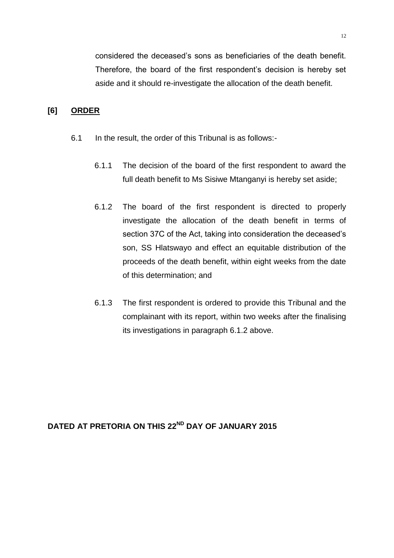considered the deceased"s sons as beneficiaries of the death benefit. Therefore, the board of the first respondent's decision is hereby set aside and it should re-investigate the allocation of the death benefit.

## **[6] ORDER**

- 6.1 In the result, the order of this Tribunal is as follows:-
	- 6.1.1 The decision of the board of the first respondent to award the full death benefit to Ms Sisiwe Mtanganyi is hereby set aside;
	- 6.1.2 The board of the first respondent is directed to properly investigate the allocation of the death benefit in terms of section 37C of the Act, taking into consideration the deceased"s son, SS Hlatswayo and effect an equitable distribution of the proceeds of the death benefit, within eight weeks from the date of this determination; and
	- 6.1.3 The first respondent is ordered to provide this Tribunal and the complainant with its report, within two weeks after the finalising its investigations in paragraph 6.1.2 above.

**DATED AT PRETORIA ON THIS 22ND DAY OF JANUARY 2015**